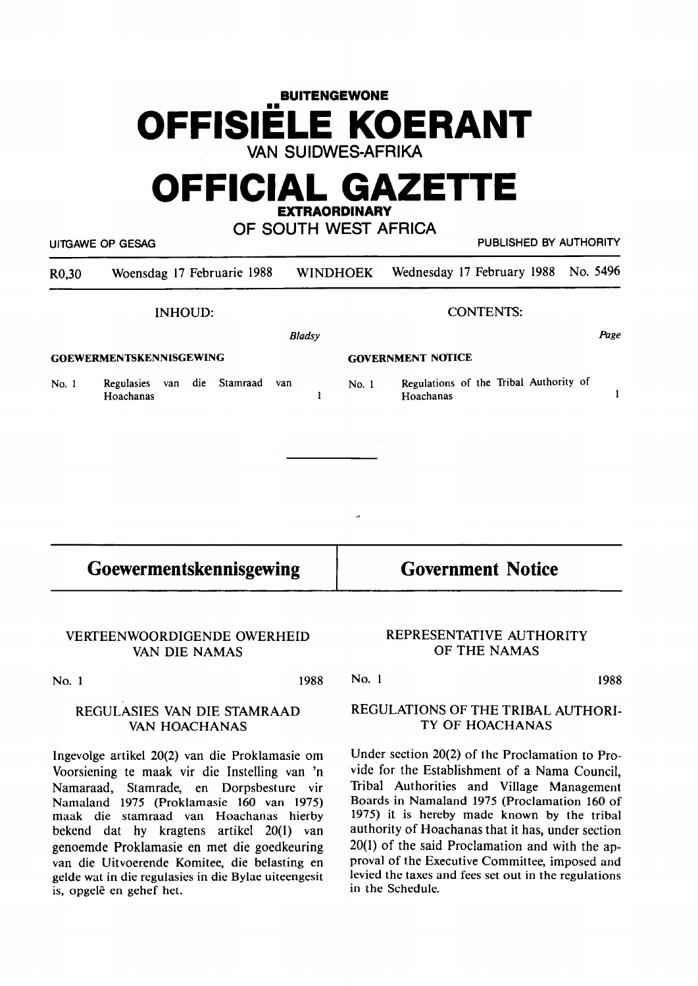# **BUITENGEWONE**  •• **OFFISIELE KOERANT VAN SUIDWES-AFRIKA**

# **OFFICIAL GAZETTE EXTRAORDINARY**

**OF SOUTH WEST AFRICA**  UllGAWE OP GESAG PUBLISHED BY AUTHORITY R0,30 Woensdag 17 Februarie 1988 WINDHOEK Wednesday 17 February 1988 No. 5496 INHOUD: CONTENTS: *Bladsy*  Page **GOEWERMENTSKENNISGEWING GOVERNMENT NOTICE**  No. I Regulasies van die Stamraad van Regulations of the Tribal Authority of No. I  $\mathbf{1}$ Hoachanas  $\mathbf{1}$ Hoachanas

**Goewermentskennisgewing** 

**VERTEENWOORDIGENDE OWERHEID VAN DIE NAMAS** 

**No. 1 1988** 

No. I

**1988** 

## **REGULASIES VAN DIE STAMRAAD VAN HOACHANAS**

lngevolge artikel 20(2) van die Proklamasie om Voorsiening te maak vir die Instelling van 'n Namaraad, Stamrade, en Dorpsbesture vir Namaland 1975 (Proklamasie 160 van 1975) maak die stamraad van Hoachanas hierby bekend dat hy kragtens artikel 20(1) van genoemde Proklamasie en met die goedkeuring van die Uitvoerende Komitee, die belasting en gelde wat in die regulasies in die Bylae uiteengesit is, opgelê en gehef het.

## **REGULATIONS OF THE TRIBAL AUTHORI-**TY OF HOACHANAS

**REPRESENTATIVE AUTHORITY OF THE NAMAS** 

Under section 20(2) of the Proclamation to Provide for the Establishment of a Nama Council, Tribal Authorities and Village Management Boards in Namaland 1975 (Proclamation 160 of 1975) it is hereby made known by the tribal authority of Hoachanas that it has, under section 20(1) of the said Proclamation and with the approval of the Executive Committee, imposed and levied the taxes and fees set out in the regulations in the Schedule.

**Government Notice**